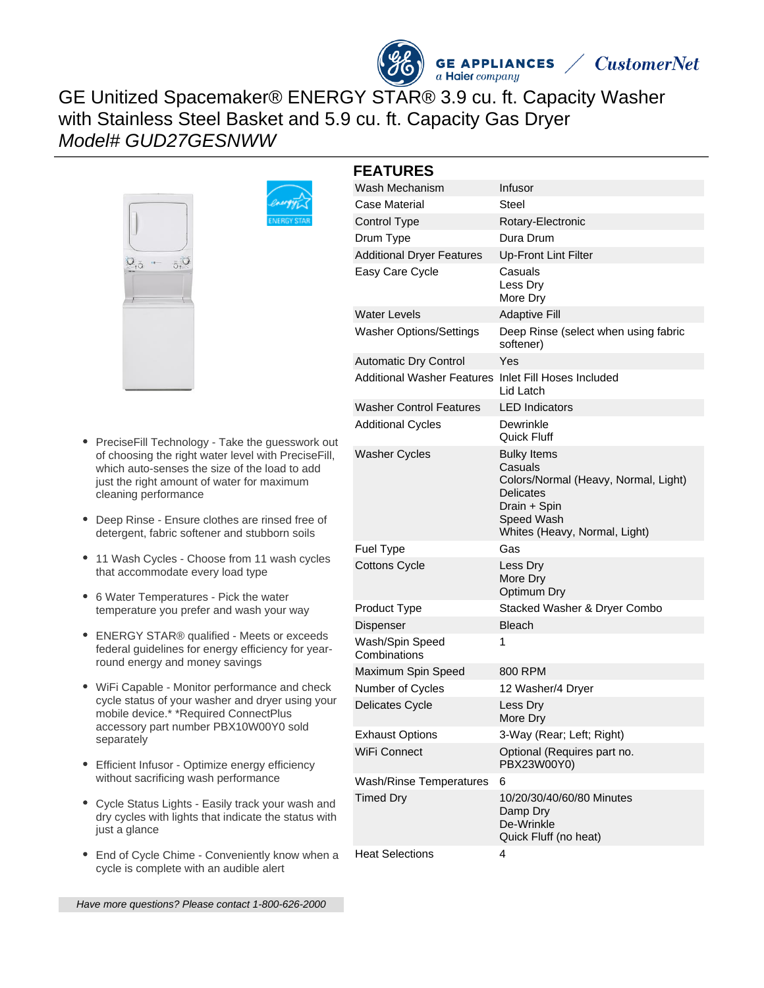



GE Unitized Spacemaker® ENERGY STAR® 3.9 cu. ft. Capacity Washer with Stainless Steel Basket and 5.9 cu. ft. Capacity Gas Dryer Model# GUD27GESNWW



- PreciseFill Technology Take the guess of choosing the right water level with Pr which auto-senses the size of the load just the right amount of water for maxim cleaning performance
- Deep Rinse Ensure clothes are rinsed detergent, fabric softener and stubborn
- 11 Wash Cycles Choose from 11 wash cycles that accommodate every load type
- 6 Water Temperatures Pick the water temperature you prefer and wash your way
- ENERGY STAR® qualified Meets or exceeds federal guidelines for energy efficiency for yearround energy and money savings
- WiFi Capable Monitor performance and check cycle status of your washer and dryer using your mobile device.\* \*Required ConnectPlus accessory part number PBX10W00Y0 sold separately
- Efficient Infusor Optimize energy efficiency without sacrificing wash performance
- Cycle Status Lights Easily track your wash and dry cycles with lights that indicate the status with just a glance
- End of Cycle Chime Conveniently know when a cycle is complete with an audible alert

|                                                              | <b>FEATURES</b>                                      |                                                                                                                                                          |
|--------------------------------------------------------------|------------------------------------------------------|----------------------------------------------------------------------------------------------------------------------------------------------------------|
| swork out<br>eciseFill.<br>to add<br>յum<br>free of<br>soils | Wash Mechanism                                       | Infusor                                                                                                                                                  |
|                                                              | Case Material                                        | <b>Steel</b>                                                                                                                                             |
|                                                              | <b>Control Type</b>                                  | Rotary-Electronic                                                                                                                                        |
|                                                              | Drum Type                                            | Dura Drum                                                                                                                                                |
|                                                              | <b>Additional Dryer Features</b>                     | <b>Up-Front Lint Filter</b>                                                                                                                              |
|                                                              | Easy Care Cycle                                      | Casuals<br>Less Dry<br>More Dry                                                                                                                          |
|                                                              | <b>Water Levels</b>                                  | <b>Adaptive Fill</b>                                                                                                                                     |
|                                                              | <b>Washer Options/Settings</b>                       | Deep Rinse (select when using fabric<br>softener)                                                                                                        |
|                                                              | <b>Automatic Dry Control</b>                         | Yes                                                                                                                                                      |
|                                                              | Additional Washer Features Inlet Fill Hoses Included | Lid Latch                                                                                                                                                |
|                                                              | <b>Washer Control Features</b>                       | <b>LED</b> Indicators                                                                                                                                    |
|                                                              | <b>Additional Cycles</b>                             | Dewrinkle<br>Quick Fluff                                                                                                                                 |
|                                                              | <b>Washer Cycles</b>                                 | <b>Bulky Items</b><br>Casuals<br>Colors/Normal (Heavy, Normal, Light)<br><b>Delicates</b><br>Drain + Spin<br>Speed Wash<br>Whites (Heavy, Normal, Light) |
|                                                              | <b>Fuel Type</b>                                     | Gas                                                                                                                                                      |
| h ovolae                                                     |                                                      |                                                                                                                                                          |

**GE APPLIANCES** 

|                                 | Whites (Heavy, Normal, Light)                                                |
|---------------------------------|------------------------------------------------------------------------------|
| Fuel Type                       | Gas                                                                          |
| <b>Cottons Cycle</b>            | Less Dry<br>More Dry<br>Optimum Dry                                          |
| Product Type                    | Stacked Washer & Dryer Combo                                                 |
| Dispenser                       | <b>Bleach</b>                                                                |
| Wash/Spin Speed<br>Combinations | 1                                                                            |
| Maximum Spin Speed              | 800 RPM                                                                      |
| Number of Cycles                | 12 Washer/4 Dryer                                                            |
| Delicates Cycle                 | Less Dry<br>More Dry                                                         |
| Exhaust Options                 | 3-Way (Rear; Left; Right)                                                    |
| WiFi Connect                    | Optional (Requires part no.<br>PBX23W00Y0)                                   |
| Wash/Rinse Temperatures         | 6                                                                            |
| Timed Dry                       | 10/20/30/40/60/80 Minutes<br>Damp Dry<br>De-Wrinkle<br>Quick Fluff (no heat) |
|                                 |                                                                              |

Heat Selections 4

Have more questions? Please contact 1-800-626-2000